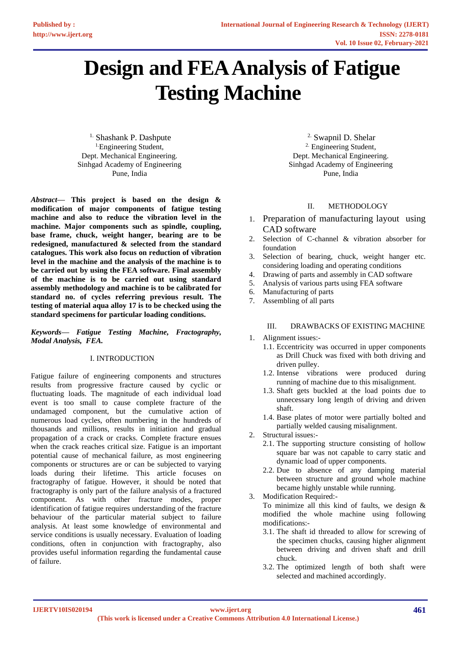# **Design and FEA Analysis of Fatigue Testing Machine**

<sup>1.</sup> Shashank P. Dashpute <sup>1.</sup>Engineering Student, Dept. Mechanical Engineering. Sinhgad Academy of Engineering Pune, India

*Abstract***— This project is based on the design & modification of major components of fatigue testing machine and also to reduce the vibration level in the machine. Major components such as spindle, coupling, base frame, chuck, weight hanger, bearing are to be redesigned, manufactured & selected from the standard catalogues. This work also focus on reduction of vibration level in the machine and the analysis of the machine is to be carried out by using the FEA software. Final assembly of the machine is to be carried out using standard assembly methodology and machine is to be calibrated for standard no. of cycles referring previous result. The testing of material aqua alloy 17 is to be checked using the standard specimens for particular loading conditions.**

*Keywords— Fatigue Testing Machine, Fractography, Modal Analysis, FEA.*

### I. INTRODUCTION

Fatigue failure of engineering components and structures results from progressive fracture caused by cyclic or fluctuating loads. The magnitude of each individual load event is too small to cause complete fracture of the undamaged component, but the cumulative action of numerous load cycles, often numbering in the hundreds of thousands and millions, results in initiation and gradual propagation of a crack or cracks. Complete fracture ensues when the crack reaches critical size. Fatigue is an important potential cause of mechanical failure, as most engineering components or structures are or can be subjected to varying loads during their lifetime. This article focuses on fractography of fatigue. However, it should be noted that fractography is only part of the failure analysis of a fractured component. As with other fracture modes, proper identification of fatigue requires understanding of the fracture behaviour of the particular material subject to failure analysis. At least some knowledge of environmental and service conditions is usually necessary. Evaluation of loading conditions, often in conjunction with fractography, also provides useful information regarding the fundamental cause of failure.

2. Swapnil D. Shelar <sup>2.</sup> Engineering Student, Dept. Mechanical Engineering. Sinhgad Academy of Engineering Pune, India

# II. METHODOLOGY

- 1. Preparation of manufacturing layout using CAD software
- 2. Selection of C-channel & vibration absorber for foundation
- 3. Selection of bearing, chuck, weight hanger etc. considering loading and operating conditions
- 4. Drawing of parts and assembly in CAD software
- 5. Analysis of various parts using FEA software
- 6. Manufacturing of parts
- 7. Assembling of all parts

#### III. DRAWBACKS OF EXISTING MACHINE

- 1. Alignment issues:-
	- 1.1. Eccentricity was occurred in upper components as Drill Chuck was fixed with both driving and driven pulley.
	- 1.2. Intense vibrations were produced during running of machine due to this misalignment.
	- 1.3. Shaft gets buckled at the load points due to unnecessary long length of driving and driven shaft.
	- 1.4. Base plates of motor were partially bolted and partially welded causing misalignment.
- 2. Structural issues:-
	- 2.1. The supporting structure consisting of hollow square bar was not capable to carry static and dynamic load of upper components.
	- 2.2. Due to absence of any damping material between structure and ground whole machine became highly unstable while running.
- 3. Modification Required:-

To minimize all this kind of faults, we design & modified the whole machine using following modifications:-

- 3.1. The shaft id threaded to allow for screwing of the specimen chucks, causing higher alignment between driving and driven shaft and drill chuck.
- 3.2. The optimized length of both shaft were selected and machined accordingly.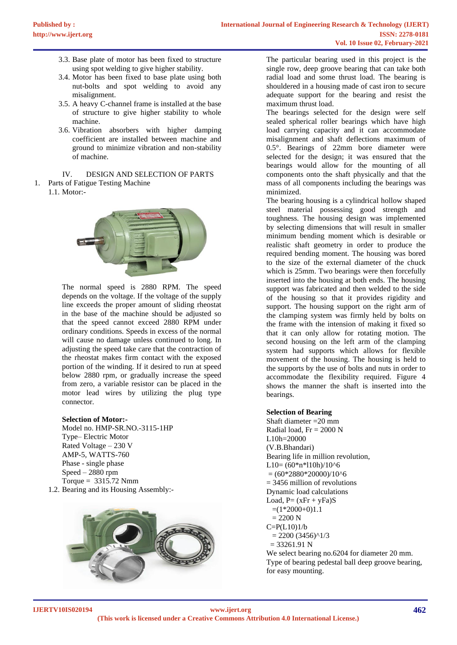- 3.3. Base plate of motor has been fixed to structure using spot welding to give higher stability.
- 3.4. Motor has been fixed to base plate using both nut-bolts and spot welding to avoid any misalignment.
- 3.5. A heavy C-channel frame is installed at the base of structure to give higher stability to whole machine.
- 3.6. Vibration absorbers with higher damping coefficient are installed between machine and ground to minimize vibration and non-stability of machine.

IV. DESIGN AND SELECTION OF PARTS

- 1. Parts of Fatigue Testing Machine
	- 1.1. Motor:-



The normal speed is 2880 RPM. The speed depends on the voltage. If the voltage of the supply line exceeds the proper amount of sliding rheostat in the base of the machine should be adjusted so that the speed cannot exceed 2880 RPM under ordinary conditions. Speeds in excess of the normal will cause no damage unless continued to long. In adjusting the speed take care that the contraction of the rheostat makes firm contact with the exposed portion of the winding. If it desired to run at speed below 2880 rpm, or gradually increase the speed from zero, a variable resistor can be placed in the motor lead wires by utilizing the plug type connector.

#### **Selection of Motor:-**

Model no. HMP-SR.NO.-3115-1HP Type– Electric Motor Rated Voltage – 230 V AMP-5, WATTS-760 Phase - single phase Speed – 2880 rpm Torque = 3315.72 Nmm 1.2. Bearing and its Housing Assembly:-



The particular bearing used in this project is the single row, deep groove bearing that can take both radial load and some thrust load. The bearing is shouldered in a housing made of cast iron to secure adequate support for the bearing and resist the maximum thrust load.

The bearings selected for the design were self sealed spherical roller bearings which have high load carrying capacity and it can accommodate misalignment and shaft deflections maximum of 0.5°. Bearings of 22mm bore diameter were selected for the design; it was ensured that the bearings would allow for the mounting of all components onto the shaft physically and that the mass of all components including the bearings was minimized.

The bearing housing is a cylindrical hollow shaped steel material possessing good strength and toughness. The housing design was implemented by selecting dimensions that will result in smaller minimum bending moment which is desirable or realistic shaft geometry in order to produce the required bending moment. The housing was bored to the size of the external diameter of the chuck which is 25mm. Two bearings were then forcefully inserted into the housing at both ends. The housing support was fabricated and then welded to the side of the housing so that it provides rigidity and support. The housing support on the right arm of the clamping system was firmly held by bolts on the frame with the intension of making it fixed so that it can only allow for rotating motion. The second housing on the left arm of the clamping system had supports which allows for flexible movement of the housing. The housing is held to the supports by the use of bolts and nuts in order to accommodate the flexibility required. Figure 4 shows the manner the shaft is inserted into the bearings.

#### **Selection of Bearing**

Shaft diameter =20 mm Radial load,  $Fr = 2000$  N L10h=20000 (V.B.Bhandari) Bearing life in million revolution,  $L10=(60*n*110h)/10^{6}$  $= (60*2880*20000)/10^{6}$  $= 3456$  million of revolutions Dynamic load calculations Load,  $P = (xFr + yFa)S$  $=(1*2000+0)1.1$  $= 2200 N$  $C = P(L10)1/b$  $= 2200 (3456)^{4}/3$  $= 33261.91$  N

We select bearing no.6204 for diameter 20 mm. Type of bearing pedestal ball deep groove bearing, for easy mounting.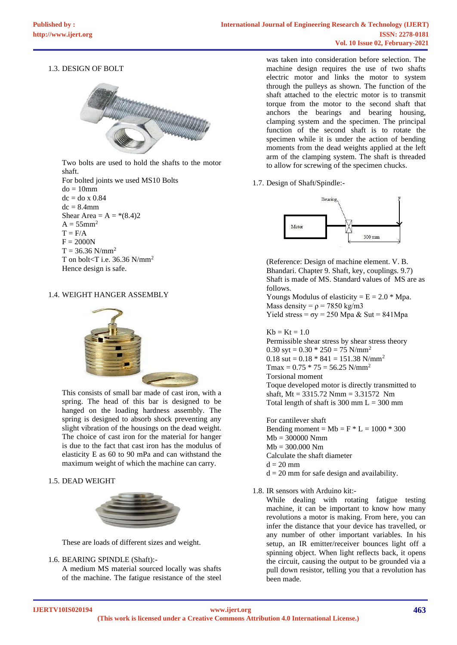### 1.3. DESIGN OF BOLT



Two bolts are used to hold the shafts to the motor shaft.

For bolted joints we used MS10 Bolts  $do = 10$ mm  $dc = do x 0.84$  $dc = 8.4$ mm Shear Area =  $A = * (8.4)2$  $A = 55$ mm<sup>2</sup>  $T = F/A$  $F = 2000N$  $T = 36.36$  N/mm<sup>2</sup> T on bolt<T i.e.  $36.36$  N/mm<sup>2</sup> Hence design is safe.

#### 1.4. WEIGHT HANGER ASSEMBLY



This consists of small bar made of cast iron, with a spring. The head of this bar is designed to be hanged on the loading hardness assembly. The spring is designed to absorb shock preventing any slight vibration of the housings on the dead weight. The choice of cast iron for the material for hanger is due to the fact that cast iron has the modulus of elasticity E as 60 to 90 mPa and can withstand the maximum weight of which the machine can carry.

#### 1.5. DEAD WEIGHT



These are loads of different sizes and weight.

#### 1.6. BEARING SPINDLE (Shaft):-

A medium MS material sourced locally was shafts of the machine. The fatigue resistance of the steel

was taken into consideration before selection. The machine design requires the use of two shafts electric motor and links the motor to system through the pulleys as shown. The function of the shaft attached to the electric motor is to transmit torque from the motor to the second shaft that anchors the bearings and bearing housing, clamping system and the specimen. The principal function of the second shaft is to rotate the specimen while it is under the action of bending moments from the dead weights applied at the left arm of the clamping system. The shaft is threaded to allow for screwing of the specimen chucks.

1.7. Design of Shaft/Spindle:-



(Reference: Design of machine element. V. B. Bhandari. Chapter 9. Shaft, key, couplings. 9.7) Shaft is made of MS. Standard values of MS are as follows. Youngs Modulus of elasticity =  $E = 2.0 * Mpa$ . Mass density =  $\rho$  = 7850 kg/m3 Yield stress =  $\sigma y = 250$  Mpa & Sut = 841Mpa  $Kb = Kt = 1.0$ Permissible shear stress by shear stress theory

0.30 syt =  $0.30 * 250 = 75$  N/mm<sup>2</sup> 0.18 sut =  $0.18 * 841 = 151.38$  N/mm<sup>2</sup>  $Tmax = 0.75 * 75 = 56.25$  N/mm<sup>2</sup> Torsional moment Toque developed motor is directly transmitted to shaft, Mt = 3315.72 Nmm = 3.31572 Nm Total length of shaft is 300 mm  $L = 300$  mm

For cantilever shaft Bending moment =  $Mb = F * L = 1000 * 300$  $Mb = 300000 Nmm$  $Mb = 300.000 Nm$ Calculate the shaft diameter  $d = 20$  mm  $d = 20$  mm for safe design and availability.

1.8. IR sensors with Arduino kit:-

While dealing with rotating fatigue testing machine, it can be important to know how many revolutions a motor is making. From here, you can infer the distance that your device has travelled, or any number of other important variables. In his setup, an IR emitter/receiver bounces light off a spinning object. When light reflects back, it opens the circuit, causing the output to be grounded via a pull down resistor, telling you that a revolution has been made.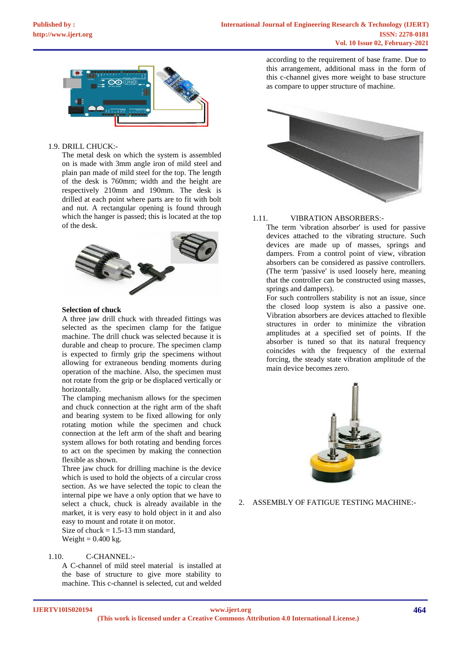

#### 1.9. DRILL CHUCK:-

The metal desk on which the system is assembled on is made with 3mm angle iron of mild steel and plain pan made of mild steel for the top. The length of the desk is 760mm; width and the height are respectively 210mm and 190mm. The desk is drilled at each point where parts are to fit with bolt and nut. A rectangular opening is found through which the hanger is passed; this is located at the top of the desk.



#### **Selection of chuck**

A three jaw drill chuck with threaded fittings was selected as the specimen clamp for the fatigue machine. The drill chuck was selected because it is durable and cheap to procure. The specimen clamp is expected to firmly grip the specimens without allowing for extraneous bending moments during operation of the machine. Also, the specimen must not rotate from the grip or be displaced vertically or horizontally.

The clamping mechanism allows for the specimen and chuck connection at the right arm of the shaft and bearing system to be fixed allowing for only rotating motion while the specimen and chuck connection at the left arm of the shaft and bearing system allows for both rotating and bending forces to act on the specimen by making the connection flexible as shown.

Three jaw chuck for drilling machine is the device which is used to hold the objects of a circular cross section. As we have selected the topic to clean the internal pipe we have a only option that we have to select a chuck, chuck is already available in the market, it is very easy to hold object in it and also easy to mount and rotate it on motor.

Size of chuck  $= 1.5 - 13$  mm standard, Weight  $= 0.400$  kg.

## 1.10. C-CHANNEL:-

A C-channel of mild steel material is installed at the base of structure to give more stability to machine. This c-channel is selected, cut and welded according to the requirement of base frame. Due to this arrangement, additional mass in the form of this c-channel gives more weight to base structure as compare to upper structure of machine.



#### 1.11. VIBRATION ABSORBERS:-

The term 'vibration absorber' is used for passive devices attached to the vibrating structure. Such devices are made up of masses, springs and dampers. From a control point of view, vibration absorbers can be considered as passive controllers. (The term 'passive' is used loosely here, meaning that the controller can be constructed using masses, springs and dampers).

For such controllers stability is not an issue, since the closed loop system is also a passive one. Vibration absorbers are devices attached to flexible structures in order to minimize the vibration amplitudes at a specified set of points. If the absorber is tuned so that its natural frequency coincides with the frequency of the external forcing, the steady state vibration amplitude of the main device becomes zero.



2. ASSEMBLY OF FATIGUE TESTING MACHINE:-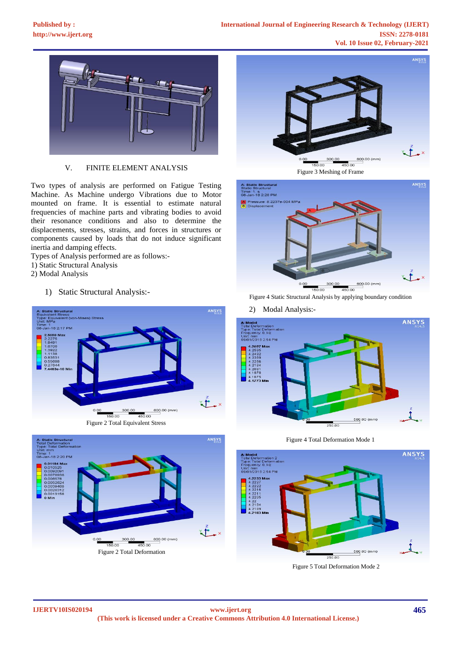

V. FINITE ELEMENT ANALYSIS

Two types of analysis are performed on Fatigue Testing Machine. As Machine undergo Vibrations due to Motor mounted on frame. It is essential to estimate natural frequencies of machine parts and vibrating bodies to avoid their resonance conditions and also to determine the displacements, stresses, strains, and forces in structures or components caused by loads that do not induce significant inertia and damping effects.

- Types of Analysis performed are as follows:-
- 1) Static Structural Analysis
- 2) Modal Analysis
	- 1) Static Structural Analysis:-





Figure 2 Total Deformation





Figure 4 Static Structural Analysis by applying boundary condition

2) Modal Analysis:-



Figure 4 Total Deformation Mode 1



Figure 5 Total Deformation Mode 2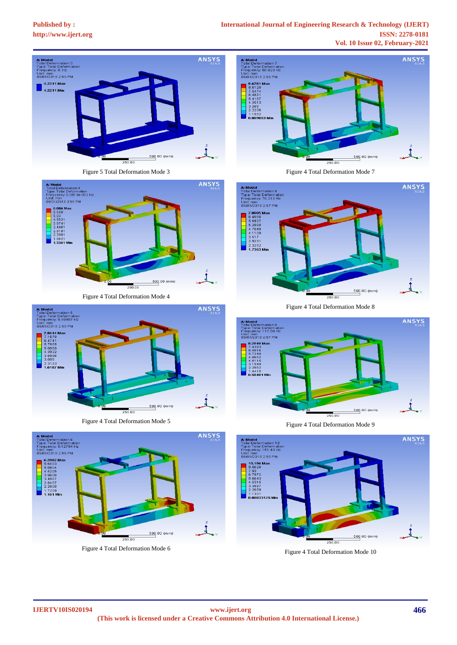# **[Published by :](www.ijert.org)**